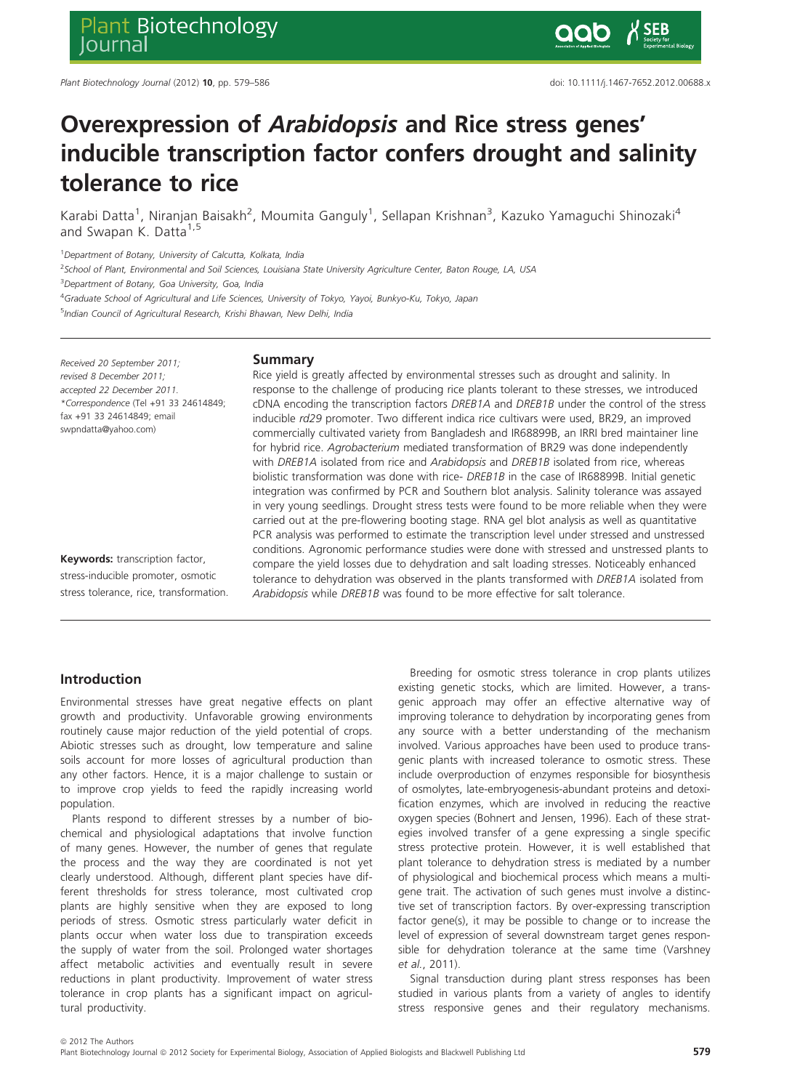# Overexpression of Arabidopsis and Rice stress genes' inducible transcription factor confers drought and salinity tolerance to rice

Karabi Datta<sup>1</sup>, Niranjan Baisakh<sup>2</sup>, Moumita Ganguly<sup>1</sup>, Sellapan Krishnan<sup>3</sup>, Kazuko Yamaguchi Shinozaki<sup>4</sup> and Swapan K. Datta<sup>1,5</sup>

<sup>1</sup> Department of Botany, University of Calcutta, Kolkata, India

<sup>2</sup>School of Plant, Environmental and Soil Sciences, Louisiana State University Agriculture Center, Baton Rouge, LA, USA

<sup>3</sup> Department of Botany, Goa University, Goa, India

<sup>4</sup>Graduate School of Agricultural and Life Sciences, University of Tokyo, Yayoi, Bunkyo-Ku, Tokyo, Japan

<sup>5</sup>Indian Council of Agricultural Research, Krishi Bhawan, New Delhi, India

Received 20 September 2011; revised 8 December 2011; accepted 22 December 2011. \*Correspondence (Tel +91 33 24614849; fax +91 33 24614849; email swpndatta@yahoo.com)

# Keywords: transcription factor, stress-inducible promoter, osmotic stress tolerance, rice, transformation.

## Summary

Rice yield is greatly affected by environmental stresses such as drought and salinity. In response to the challenge of producing rice plants tolerant to these stresses, we introduced cDNA encoding the transcription factors DREB1A and DREB1B under the control of the stress inducible rd29 promoter. Two different indica rice cultivars were used, BR29, an improved commercially cultivated variety from Bangladesh and IR68899B, an IRRI bred maintainer line for hybrid rice. Agrobacterium mediated transformation of BR29 was done independently with DREB1A isolated from rice and Arabidopsis and DREB1B isolated from rice, whereas biolistic transformation was done with rice- DREB1B in the case of IR68899B. Initial genetic integration was confirmed by PCR and Southern blot analysis. Salinity tolerance was assayed in very young seedlings. Drought stress tests were found to be more reliable when they were carried out at the pre-flowering booting stage. RNA gel blot analysis as well as quantitative PCR analysis was performed to estimate the transcription level under stressed and unstressed conditions. Agronomic performance studies were done with stressed and unstressed plants to compare the yield losses due to dehydration and salt loading stresses. Noticeably enhanced tolerance to dehydration was observed in the plants transformed with *DREB1A* isolated from Arabidopsis while DREB1B was found to be more effective for salt tolerance.

# Introduction

Environmental stresses have great negative effects on plant growth and productivity. Unfavorable growing environments routinely cause major reduction of the yield potential of crops. Abiotic stresses such as drought, low temperature and saline soils account for more losses of agricultural production than any other factors. Hence, it is a major challenge to sustain or to improve crop yields to feed the rapidly increasing world population.

Plants respond to different stresses by a number of biochemical and physiological adaptations that involve function of many genes. However, the number of genes that regulate the process and the way they are coordinated is not yet clearly understood. Although, different plant species have different thresholds for stress tolerance, most cultivated crop plants are highly sensitive when they are exposed to long periods of stress. Osmotic stress particularly water deficit in plants occur when water loss due to transpiration exceeds the supply of water from the soil. Prolonged water shortages affect metabolic activities and eventually result in severe reductions in plant productivity. Improvement of water stress tolerance in crop plants has a significant impact on agricultural productivity.

Breeding for osmotic stress tolerance in crop plants utilizes existing genetic stocks, which are limited. However, a transgenic approach may offer an effective alternative way of improving tolerance to dehydration by incorporating genes from any source with a better understanding of the mechanism involved. Various approaches have been used to produce transgenic plants with increased tolerance to osmotic stress. These include overproduction of enzymes responsible for biosynthesis of osmolytes, late-embryogenesis-abundant proteins and detoxification enzymes, which are involved in reducing the reactive oxygen species (Bohnert and Jensen, 1996). Each of these strategies involved transfer of a gene expressing a single specific stress protective protein. However, it is well established that plant tolerance to dehydration stress is mediated by a number of physiological and biochemical process which means a multigene trait. The activation of such genes must involve a distinctive set of transcription factors. By over-expressing transcription factor gene(s), it may be possible to change or to increase the level of expression of several downstream target genes responsible for dehydration tolerance at the same time (Varshney et al., 2011).

Signal transduction during plant stress responses has been studied in various plants from a variety of angles to identify stress responsive genes and their regulatory mechanisms.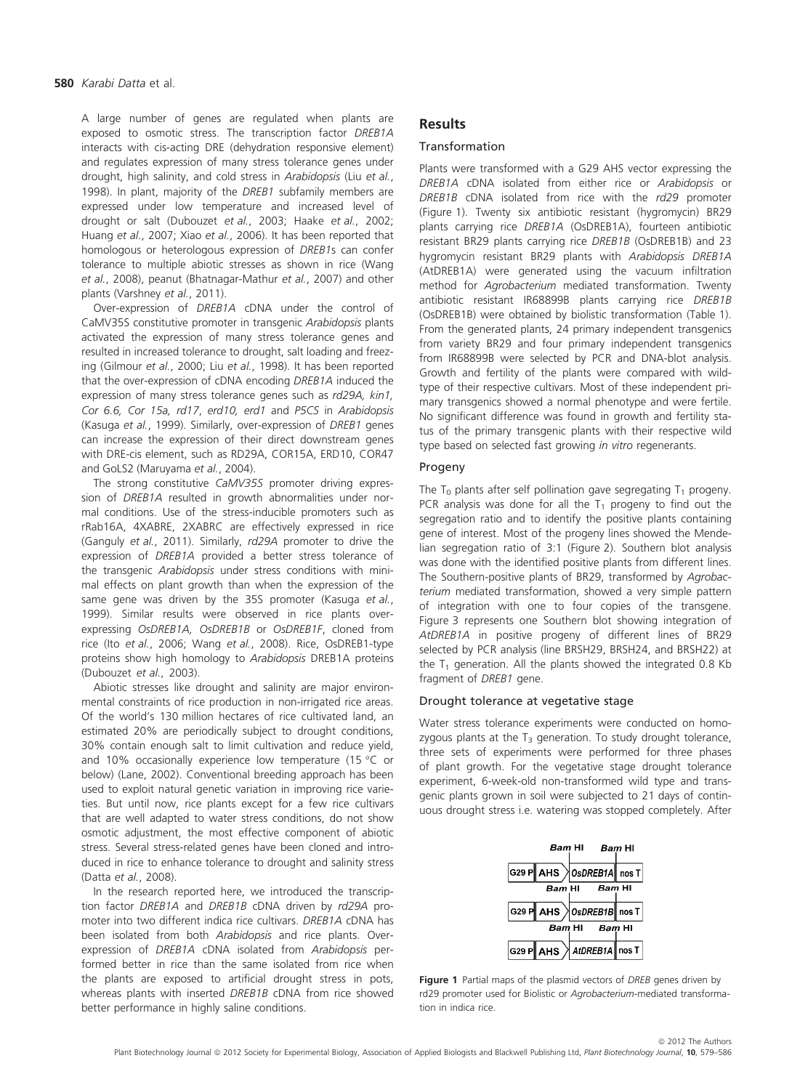A large number of genes are regulated when plants are exposed to osmotic stress. The transcription factor DREB1A interacts with cis-acting DRE (dehydration responsive element) and regulates expression of many stress tolerance genes under drought, high salinity, and cold stress in Arabidopsis (Liu et al., 1998). In plant, majority of the DREB1 subfamily members are expressed under low temperature and increased level of drought or salt (Dubouzet et al., 2003; Haake et al., 2002; Huang et al., 2007; Xiao et al., 2006). It has been reported that homologous or heterologous expression of DREB1s can confer tolerance to multiple abiotic stresses as shown in rice (Wang et al., 2008), peanut (Bhatnagar-Mathur et al., 2007) and other plants (Varshney et al., 2011).

Over-expression of DREB1A cDNA under the control of CaMV35S constitutive promoter in transgenic Arabidopsis plants activated the expression of many stress tolerance genes and resulted in increased tolerance to drought, salt loading and freezing (Gilmour et al., 2000; Liu et al., 1998). It has been reported that the over-expression of cDNA encoding DREB1A induced the expression of many stress tolerance genes such as rd29A, kin1, Cor 6.6, Cor 15a, rd17, erd10, erd1 and P5CS in Arabidopsis (Kasuga et al., 1999). Similarly, over-expression of DREB1 genes can increase the expression of their direct downstream genes with DRE-cis element, such as RD29A, COR15A, ERD10, COR47 and GoLS2 (Maruyama et al., 2004).

The strong constitutive CaMV35S promoter driving expression of DREB1A resulted in growth abnormalities under normal conditions. Use of the stress-inducible promoters such as rRab16A, 4XABRE, 2XABRC are effectively expressed in rice (Ganguly et al., 2011). Similarly, rd29A promoter to drive the expression of DREB1A provided a better stress tolerance of the transgenic Arabidopsis under stress conditions with minimal effects on plant growth than when the expression of the same gene was driven by the 35S promoter (Kasuga et al., 1999). Similar results were observed in rice plants overexpressing OsDREB1A, OsDREB1B or OsDREB1F, cloned from rice (Ito et al., 2006; Wang et al., 2008). Rice, OsDREB1-type proteins show high homology to Arabidopsis DREB1A proteins (Dubouzet et al., 2003).

Abiotic stresses like drought and salinity are major environmental constraints of rice production in non-irrigated rice areas. Of the world's 130 million hectares of rice cultivated land, an estimated 20% are periodically subject to drought conditions, 30% contain enough salt to limit cultivation and reduce yield, and 10% occasionally experience low temperature (15  $\degree$ C or below) (Lane, 2002). Conventional breeding approach has been used to exploit natural genetic variation in improving rice varieties. But until now, rice plants except for a few rice cultivars that are well adapted to water stress conditions, do not show osmotic adjustment, the most effective component of abiotic stress. Several stress-related genes have been cloned and introduced in rice to enhance tolerance to drought and salinity stress (Datta et al., 2008).

In the research reported here, we introduced the transcription factor DREB1A and DREB1B cDNA driven by rd29A promoter into two different indica rice cultivars. DREB1A cDNA has been isolated from both Arabidopsis and rice plants. Overexpression of DREB1A cDNA isolated from Arabidopsis performed better in rice than the same isolated from rice when the plants are exposed to artificial drought stress in pots, whereas plants with inserted DREB1B cDNA from rice showed better performance in highly saline conditions.

# **Results**

## Transformation

Plants were transformed with a G29 AHS vector expressing the DREB1A cDNA isolated from either rice or Arabidopsis or DREB1B cDNA isolated from rice with the rd29 promoter (Figure 1). Twenty six antibiotic resistant (hygromycin) BR29 plants carrying rice DREB1A (OsDREB1A), fourteen antibiotic resistant BR29 plants carrying rice DREB1B (OsDREB1B) and 23 hygromycin resistant BR29 plants with Arabidopsis DREB1A (AtDREB1A) were generated using the vacuum infiltration method for Agrobacterium mediated transformation. Twenty antibiotic resistant IR68899B plants carrying rice DREB1B (OsDREB1B) were obtained by biolistic transformation (Table 1). From the generated plants, 24 primary independent transgenics from variety BR29 and four primary independent transgenics from IR68899B were selected by PCR and DNA-blot analysis. Growth and fertility of the plants were compared with wildtype of their respective cultivars. Most of these independent primary transgenics showed a normal phenotype and were fertile. No significant difference was found in growth and fertility status of the primary transgenic plants with their respective wild type based on selected fast growing in vitro regenerants.

## Progeny

The T<sub>0</sub> plants after self pollination gave segregating T<sub>1</sub> progeny. PCR analysis was done for all the  $T_1$  progeny to find out the segregation ratio and to identify the positive plants containing gene of interest. Most of the progeny lines showed the Mendelian segregation ratio of 3:1 (Figure 2). Southern blot analysis was done with the identified positive plants from different lines. The Southern-positive plants of BR29, transformed by Agrobacterium mediated transformation, showed a very simple pattern of integration with one to four copies of the transgene. Figure 3 represents one Southern blot showing integration of AtDREB1A in positive progeny of different lines of BR29 selected by PCR analysis (line BRSH29, BRSH24, and BRSH22) at the  $T_1$  generation. All the plants showed the integrated 0.8 Kb fragment of DREB1 gene.

## Drought tolerance at vegetative stage

Water stress tolerance experiments were conducted on homozygous plants at the  $T_3$  generation. To study drought tolerance, three sets of experiments were performed for three phases of plant growth. For the vegetative stage drought tolerance experiment, 6-week-old non-transformed wild type and transgenic plants grown in soil were subjected to 21 days of continuous drought stress i.e. watering was stopped completely. After



Figure 1 Partial maps of the plasmid vectors of DREB genes driven by rd29 promoter used for Biolistic or Agrobacterium-mediated transformation in indica rice.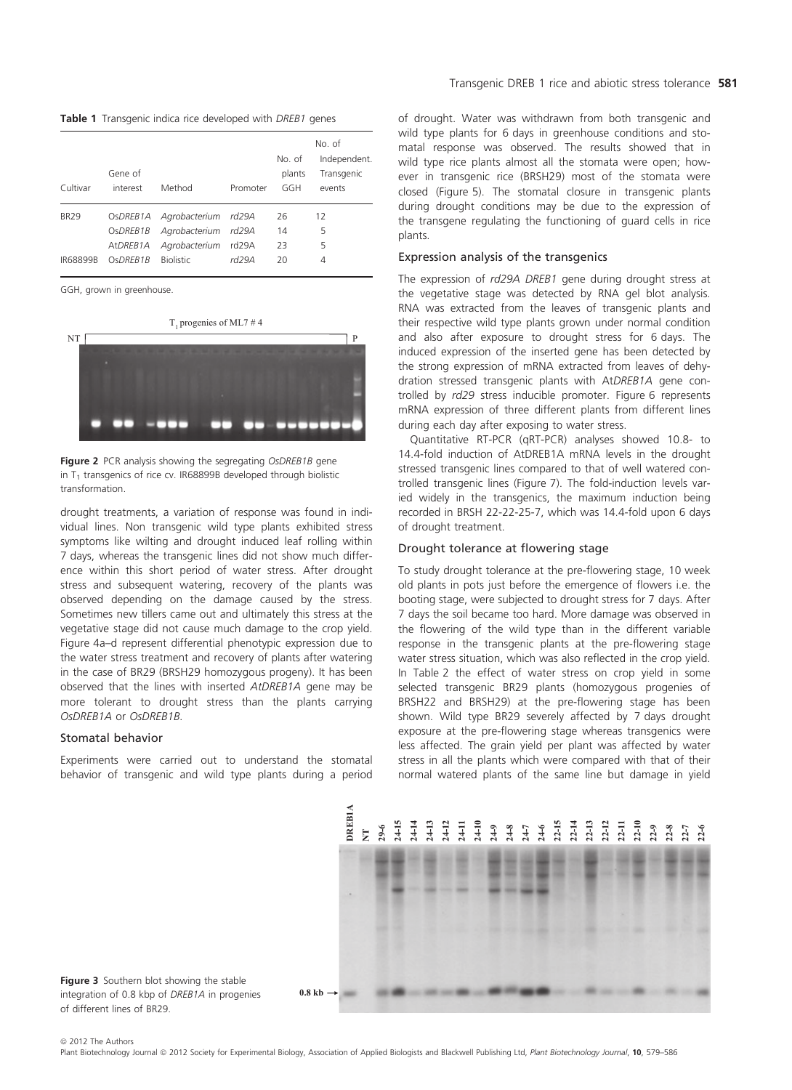Table 1 Transgenic indica rice developed with DREB1 genes

| Cultivar                       | Gene of<br>interest                          | Method                                                                    | Promoter                | No. of<br>plants<br>GGH | No. of<br>Independent.<br>Transgenic<br>events |
|--------------------------------|----------------------------------------------|---------------------------------------------------------------------------|-------------------------|-------------------------|------------------------------------------------|
| <b>BR29</b><br><b>IR68899B</b> | OsDREB1A<br>OsDREB1B<br>AtDREB1A<br>OSDREB1B | Agrobacterium rd29A<br>Agrobacterium<br>Agrobacterium<br><b>Biolistic</b> | rd29A<br>rd29A<br>rd29A | 26<br>14<br>23<br>20    | 12<br>5<br>5<br>4                              |

GGH, grown in greenhouse.



Figure 2 PCR analysis showing the segregating OsDREB1B gene in  $T_1$  transgenics of rice cv. IR68899B developed through biolistic transformation.

drought treatments, a variation of response was found in individual lines. Non transgenic wild type plants exhibited stress symptoms like wilting and drought induced leaf rolling within 7 days, whereas the transgenic lines did not show much difference within this short period of water stress. After drought stress and subsequent watering, recovery of the plants was observed depending on the damage caused by the stress. Sometimes new tillers came out and ultimately this stress at the vegetative stage did not cause much damage to the crop yield. Figure 4a–d represent differential phenotypic expression due to the water stress treatment and recovery of plants after watering in the case of BR29 (BRSH29 homozygous progeny). It has been observed that the lines with inserted AtDREB1A gene may be more tolerant to drought stress than the plants carrying OsDREB1A or OsDREB1B.

#### Stomatal behavior

Experiments were carried out to understand the stomatal behavior of transgenic and wild type plants during a period of drought. Water was withdrawn from both transgenic and wild type plants for 6 days in greenhouse conditions and stomatal response was observed. The results showed that in wild type rice plants almost all the stomata were open; however in transgenic rice (BRSH29) most of the stomata were closed (Figure 5). The stomatal closure in transgenic plants during drought conditions may be due to the expression of the transgene regulating the functioning of guard cells in rice plants.

## Expression analysis of the transgenics

The expression of rd29A DREB1 gene during drought stress at the vegetative stage was detected by RNA gel blot analysis. RNA was extracted from the leaves of transgenic plants and their respective wild type plants grown under normal condition and also after exposure to drought stress for 6 days. The induced expression of the inserted gene has been detected by the strong expression of mRNA extracted from leaves of dehydration stressed transgenic plants with AtDREB1A gene controlled by rd29 stress inducible promoter. Figure 6 represents mRNA expression of three different plants from different lines during each day after exposing to water stress.

Quantitative RT-PCR (qRT-PCR) analyses showed 10.8- to 14.4-fold induction of AtDREB1A mRNA levels in the drought stressed transgenic lines compared to that of well watered controlled transgenic lines (Figure 7). The fold-induction levels varied widely in the transgenics, the maximum induction being recorded in BRSH 22-22-25-7, which was 14.4-fold upon 6 days of drought treatment.

## Drought tolerance at flowering stage

To study drought tolerance at the pre-flowering stage, 10 week old plants in pots just before the emergence of flowers i.e. the booting stage, were subjected to drought stress for 7 days. After 7 days the soil became too hard. More damage was observed in the flowering of the wild type than in the different variable response in the transgenic plants at the pre-flowering stage water stress situation, which was also reflected in the crop yield. In Table 2 the effect of water stress on crop yield in some selected transgenic BR29 plants (homozygous progenies of BRSH22 and BRSH29) at the pre-flowering stage has been shown. Wild type BR29 severely affected by 7 days drought exposure at the pre-flowering stage whereas transgenics were less affected. The grain yield per plant was affected by water stress in all the plants which were compared with that of their normal watered plants of the same line but damage in yield



Figure 3 Southern blot showing the stable integration of 0.8 kbp of DREB1A in progenies of different lines of BR29.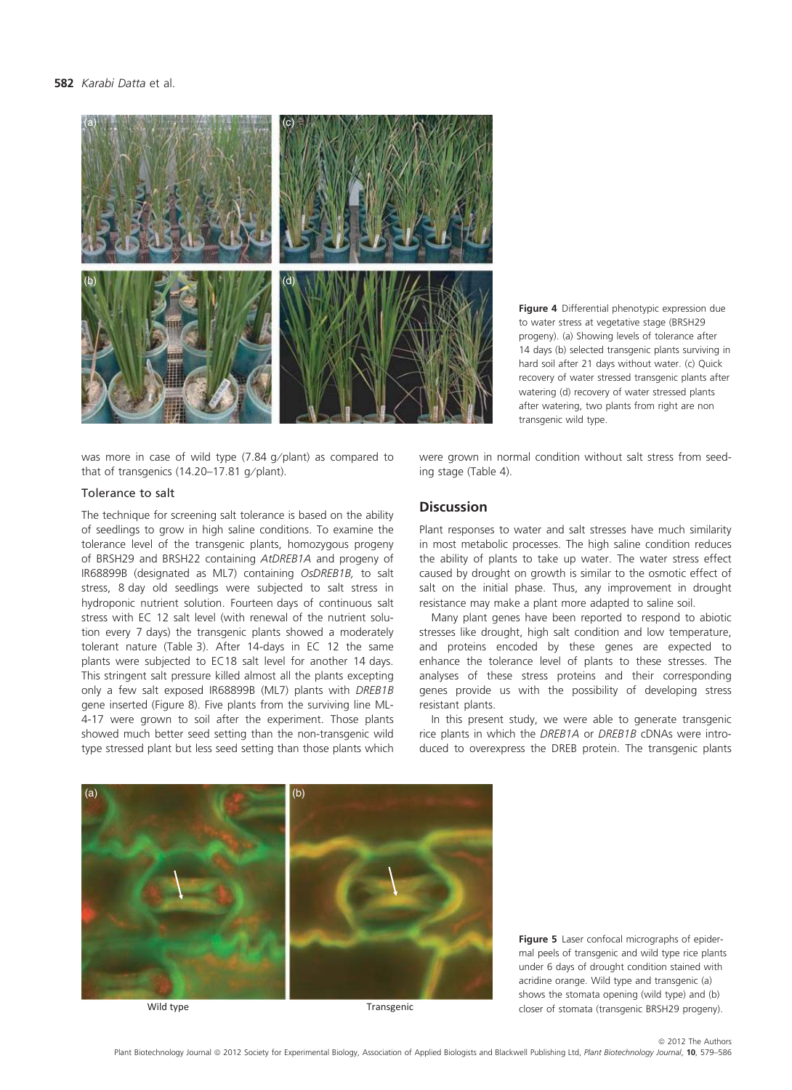#### 582 Karabi Datta et al.



Figure 4 Differential phenotypic expression due to water stress at vegetative stage (BRSH29 progeny). (a) Showing levels of tolerance after 14 days (b) selected transgenic plants surviving in hard soil after 21 days without water. (c) Quick recovery of water stressed transgenic plants after watering (d) recovery of water stressed plants after watering, two plants from right are non transgenic wild type.

was more in case of wild type  $(7.84 \text{ g/plant})$  as compared to that of transgenics (14.20-17.81 g/plant).

#### Tolerance to salt

The technique for screening salt tolerance is based on the ability of seedlings to grow in high saline conditions. To examine the tolerance level of the transgenic plants, homozygous progeny of BRSH29 and BRSH22 containing AtDREB1A and progeny of IR68899B (designated as ML7) containing OsDREB1B, to salt stress, 8 day old seedlings were subjected to salt stress in hydroponic nutrient solution. Fourteen days of continuous salt stress with EC 12 salt level (with renewal of the nutrient solution every 7 days) the transgenic plants showed a moderately tolerant nature (Table 3). After 14-days in EC 12 the same plants were subjected to EC18 salt level for another 14 days. This stringent salt pressure killed almost all the plants excepting only a few salt exposed IR68899B (ML7) plants with DREB1B gene inserted (Figure 8). Five plants from the surviving line ML-4-17 were grown to soil after the experiment. Those plants showed much better seed setting than the non-transgenic wild type stressed plant but less seed setting than those plants which

were grown in normal condition without salt stress from seeding stage (Table 4).

# Discussion

Plant responses to water and salt stresses have much similarity in most metabolic processes. The high saline condition reduces the ability of plants to take up water. The water stress effect caused by drought on growth is similar to the osmotic effect of salt on the initial phase. Thus, any improvement in drought resistance may make a plant more adapted to saline soil.

Many plant genes have been reported to respond to abiotic stresses like drought, high salt condition and low temperature, and proteins encoded by these genes are expected to enhance the tolerance level of plants to these stresses. The analyses of these stress proteins and their corresponding genes provide us with the possibility of developing stress resistant plants.

In this present study, we were able to generate transgenic rice plants in which the DREB1A or DREB1B cDNAs were introduced to overexpress the DREB protein. The transgenic plants



Wild type

Transgenic

Figure 5 Laser confocal micrographs of epidermal peels of transgenic and wild type rice plants under 6 days of drought condition stained with acridine orange. Wild type and transgenic (a) shows the stomata opening (wild type) and (b) closer of stomata (transgenic BRSH29 progeny).

 $©$  2012 The Authors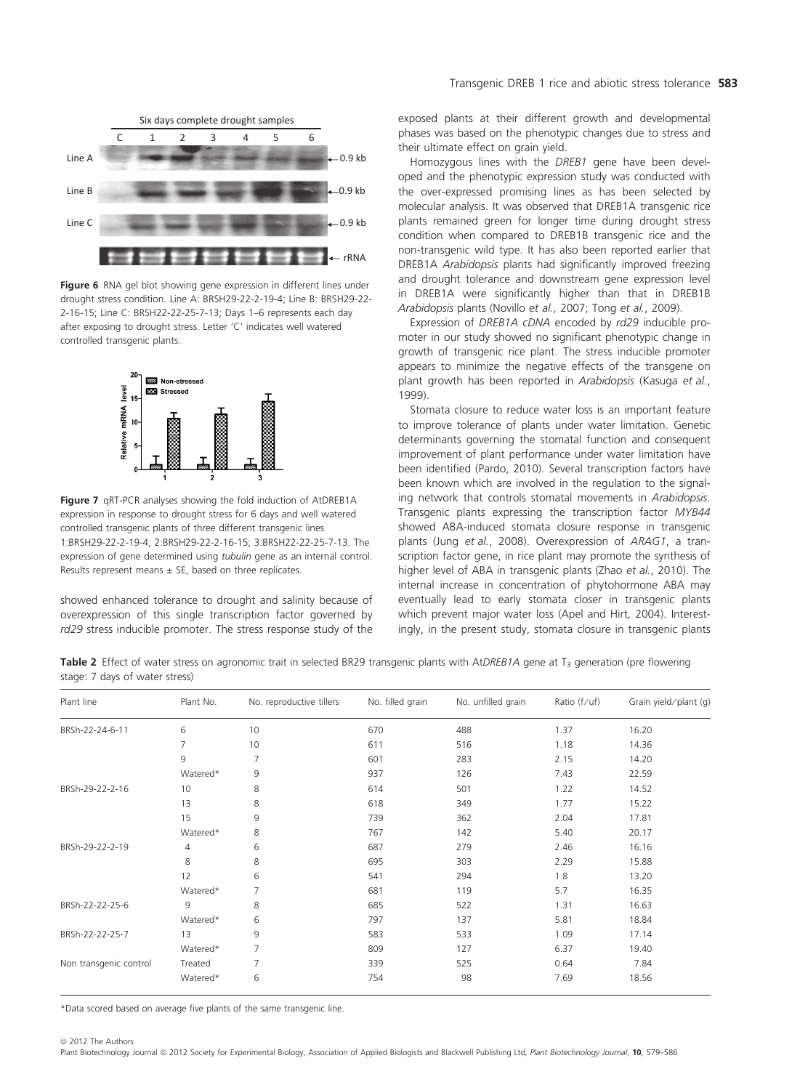

Figure 6 RNA gel blot showing gene expression in different lines under drought stress condition. Line A: BRSH29-22-2-19-4; Line B: BRSH29-22- 2-16-15; Line C: BRSH22-22-25-7-13; Days 1–6 represents each day after exposing to drought stress. Letter 'C' indicates well watered controlled transgenic plants.



Figure 7 qRT-PCR analyses showing the fold induction of AtDREB1A expression in response to drought stress for 6 days and well watered controlled transgenic plants of three different transgenic lines 1:BRSH29-22-2-19-4; 2:BRSH29-22-2-16-15; 3:BRSH22-22-25-7-13. The expression of gene determined using tubulin gene as an internal control. Results represent means  $\pm$  SE, based on three replicates.

showed enhanced tolerance to drought and salinity because of overexpression of this single transcription factor governed by rd29 stress inducible promoter. The stress response study of the exposed plants at their different growth and developmental phases was based on the phenotypic changes due to stress and their ultimate effect on grain yield.

Homozygous lines with the DREB1 gene have been developed and the phenotypic expression study was conducted with the over-expressed promising lines as has been selected by molecular analysis. It was observed that DREB1A transgenic rice plants remained green for longer time during drought stress condition when compared to DREB1B transgenic rice and the non-transgenic wild type. It has also been reported earlier that DREB1A Arabidopsis plants had significantly improved freezing and drought tolerance and downstream gene expression level in DREB1A were significantly higher than that in DREB1B Arabidopsis plants (Novillo et al., 2007; Tong et al., 2009).

Expression of DREB1A cDNA encoded by rd29 inducible promoter in our study showed no significant phenotypic change in growth of transgenic rice plant. The stress inducible promoter appears to minimize the negative effects of the transgene on plant growth has been reported in Arabidopsis (Kasuga et al., 1999).

Stomata closure to reduce water loss is an important feature to improve tolerance of plants under water limitation. Genetic determinants governing the stomatal function and consequent improvement of plant performance under water limitation have been identified (Pardo, 2010). Several transcription factors have been known which are involved in the regulation to the signaling network that controls stomatal movements in Arabidopsis. Transgenic plants expressing the transcription factor MYB44 showed ABA-induced stomata closure response in transgenic plants (Jung et al., 2008). Overexpression of ARAG1, a transcription factor gene, in rice plant may promote the synthesis of higher level of ABA in transgenic plants (Zhao et al., 2010). The internal increase in concentration of phytohormone ABA may eventually lead to early stomata closer in transgenic plants which prevent major water loss (Apel and Hirt, 2004). Interestingly, in the present study, stomata closure in transgenic plants

Table 2 Effect of water stress on agronomic trait in selected BR29 transgenic plants with AtDREB1A gene at T<sub>3</sub> generation (pre flowering stage: 7 days of water stress)

| Plant line             | Plant No.      | No. reproductive tillers | No. filled grain | No. unfilled grain | Ratio $(f/uf)$ | Grain yield/plant (g) |
|------------------------|----------------|--------------------------|------------------|--------------------|----------------|-----------------------|
| BRSh-22-24-6-11        | 6              | 10                       | 670              | 488                | 1.37           | 16.20                 |
|                        | 7              | 10                       | 611              | 516                | 1.18           | 14.36                 |
|                        | 9              | 7                        | 601              | 283                | 2.15           | 14.20                 |
|                        | Watered*       | 9                        | 937              | 126                | 7.43           | 22.59                 |
| BRSh-29-22-2-16        | 10             | 8                        | 614              | 501                | 1.22           | 14.52                 |
|                        | 13             | 8                        | 618              | 349                | 1.77           | 15.22                 |
|                        | 15             | 9                        | 739              | 362                | 2.04           | 17.81                 |
|                        | Watered*       | 8                        | 767              | 142                | 5.40           | 20.17                 |
| BRSh-29-22-2-19        | $\overline{4}$ | 6                        | 687              | 279                | 2.46           | 16.16                 |
|                        | 8              | 8                        | 695              | 303                | 2.29           | 15.88                 |
|                        | 12             | 6                        | 541              | 294                | 1.8            | 13.20                 |
|                        | Watered*       | 7                        | 681              | 119                | 5.7            | 16.35                 |
| BRSh-22-22-25-6        | 9              | 8                        | 685              | 522                | 1.31           | 16.63                 |
|                        | Watered*       | 6                        | 797              | 137                | 5.81           | 18.84                 |
| BRSh-22-22-25-7        | 13             | 9                        | 583              | 533                | 1.09           | 17.14                 |
|                        | Watered*       | 7                        | 809              | 127                | 6.37           | 19.40                 |
| Non transgenic control | Treated        | 7                        | 339              | 525                | 0.64           | 7.84                  |
|                        | Watered*       | 6                        | 754              | 98                 | 7.69           | 18.56                 |

\*Data scored based on average five plants of the same transgenic line.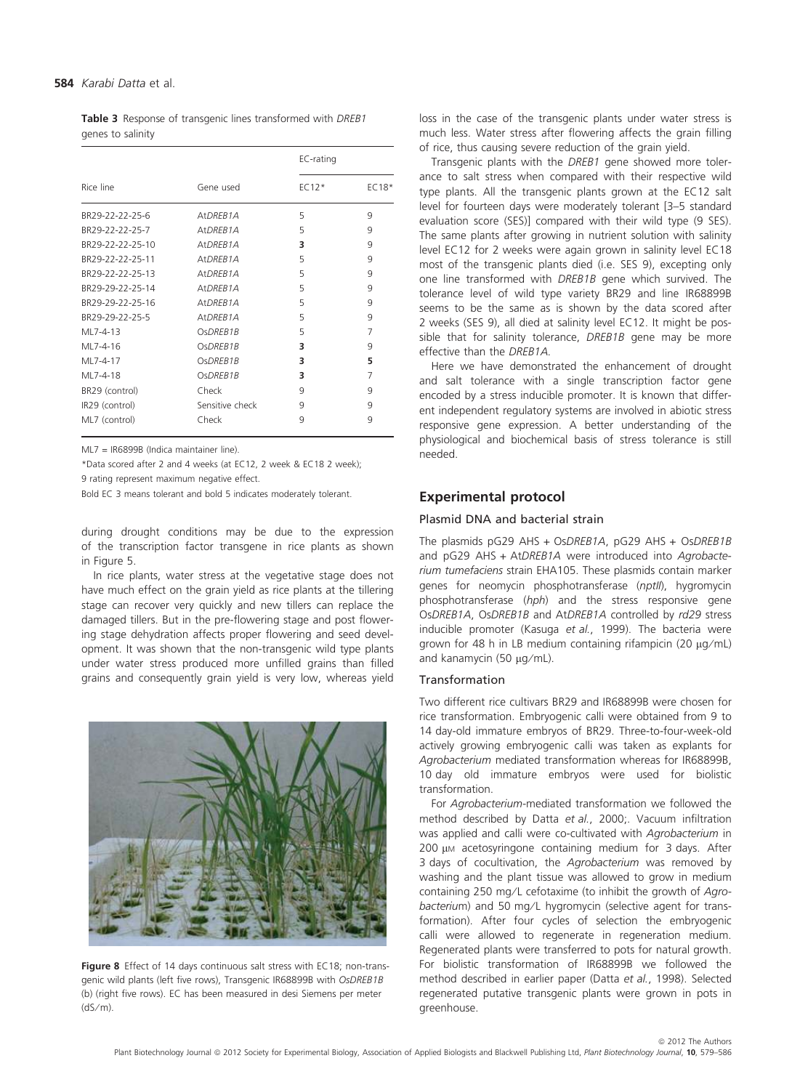Table 3 Response of transgenic lines transformed with DREB1 genes to salinity

|                  |                        | EC-rating |         |  |
|------------------|------------------------|-----------|---------|--|
| Rice line        | Gene used              | $EC12*$   | $EC18*$ |  |
| BR29-22-22-25-6  | At DREB <sub>1</sub> A | 5         | 9       |  |
| BR29-22-22-25-7  | At DREB <sub>1</sub> A | 5         | 9       |  |
| BR29-22-22-25-10 | At DREB <sub>1</sub> A | 3         | 9       |  |
| BR29-22-22-25-11 | At DREB <sub>1</sub> A | 5         | 9       |  |
| BR29-22-22-25-13 | At DREB <sub>1</sub> A | 5         | 9       |  |
| BR29-29-22-25-14 | At DREB <sub>1</sub> A | 5         | 9       |  |
| BR29-29-22-25-16 | At DREB <sub>1</sub> A | 5         | 9       |  |
| BR29-29-22-25-5  | At DREB <sub>1</sub> A | 5         | 9       |  |
| ML7-4-13         | OsDREB1B               | 5         | 7       |  |
| MI 7-4-16        | OsDREB1B               | 3         | 9       |  |
| MI 7-4-17        | OsDREB1B               | 3         | 5       |  |
| ML7-4-18         | OsDREB1B               | 3         | 7       |  |
| BR29 (control)   | Check                  | 9         | 9       |  |
| IR29 (control)   | Sensitive check        | 9         | 9       |  |
| ML7 (control)    | Check                  | 9         | 9       |  |
|                  |                        |           |         |  |

ML7 = IR6899B (Indica maintainer line).

\*Data scored after 2 and 4 weeks (at EC12, 2 week & EC18 2 week);

9 rating represent maximum negative effect.

Bold EC 3 means tolerant and bold 5 indicates moderately tolerant.

during drought conditions may be due to the expression of the transcription factor transgene in rice plants as shown in Figure 5.

In rice plants, water stress at the vegetative stage does not have much effect on the grain yield as rice plants at the tillering stage can recover very quickly and new tillers can replace the damaged tillers. But in the pre-flowering stage and post flowering stage dehydration affects proper flowering and seed development. It was shown that the non-transgenic wild type plants under water stress produced more unfilled grains than filled grains and consequently grain yield is very low, whereas yield



Figure 8 Effect of 14 days continuous salt stress with EC18; non-transgenic wild plants (left five rows), Transgenic IR68899B with OsDREB1B (b) (right five rows). EC has been measured in desi Siemens per meter  $(dS/m)$ .

loss in the case of the transgenic plants under water stress is much less. Water stress after flowering affects the grain filling of rice, thus causing severe reduction of the grain yield.

Transgenic plants with the DREB1 gene showed more tolerance to salt stress when compared with their respective wild type plants. All the transgenic plants grown at the EC12 salt level for fourteen days were moderately tolerant [3–5 standard evaluation score (SES)] compared with their wild type (9 SES). The same plants after growing in nutrient solution with salinity level EC12 for 2 weeks were again grown in salinity level EC18 most of the transgenic plants died (i.e. SES 9), excepting only one line transformed with DREB1B gene which survived. The tolerance level of wild type variety BR29 and line IR68899B seems to be the same as is shown by the data scored after 2 weeks (SES 9), all died at salinity level EC12. It might be possible that for salinity tolerance, DREB1B gene may be more effective than the DREB1A.

Here we have demonstrated the enhancement of drought and salt tolerance with a single transcription factor gene encoded by a stress inducible promoter. It is known that different independent regulatory systems are involved in abiotic stress responsive gene expression. A better understanding of the physiological and biochemical basis of stress tolerance is still needed.

# Experimental protocol

#### Plasmid DNA and bacterial strain

The plasmids pG29 AHS + OsDREB1A, pG29 AHS + OsDREB1B and pG29 AHS + AtDREB1A were introduced into Agrobacterium tumefaciens strain EHA105. These plasmids contain marker genes for neomycin phosphotransferase (nptll), hygromycin phosphotransferase (hph) and the stress responsive gene OsDREB1A, OsDREB1B and AtDREB1A controlled by rd29 stress inducible promoter (Kasuga et al., 1999). The bacteria were grown for 48 h in LB medium containing rifampicin (20  $\mu$ g/mL) and kanamycin (50  $\mu$ g/mL).

# Transformation

Two different rice cultivars BR29 and IR68899B were chosen for rice transformation. Embryogenic calli were obtained from 9 to 14 day-old immature embryos of BR29. Three-to-four-week-old actively growing embryogenic calli was taken as explants for Agrobacterium mediated transformation whereas for IR68899B, 10 day old immature embryos were used for biolistic transformation.

For Agrobacterium-mediated transformation we followed the method described by Datta et al., 2000;. Vacuum infiltration was applied and calli were co-cultivated with Agrobacterium in  $200 \mu$ M acetosyringone containing medium for 3 days. After 3 days of cocultivation, the Agrobacterium was removed by washing and the plant tissue was allowed to grow in medium containing 250 mg/L cefotaxime (to inhibit the growth of Agrobacterium) and 50 mg/L hygromycin (selective agent for transformation). After four cycles of selection the embryogenic calli were allowed to regenerate in regeneration medium. Regenerated plants were transferred to pots for natural growth. For biolistic transformation of IR68899B we followed the method described in earlier paper (Datta et al., 1998). Selected regenerated putative transgenic plants were grown in pots in greenhouse.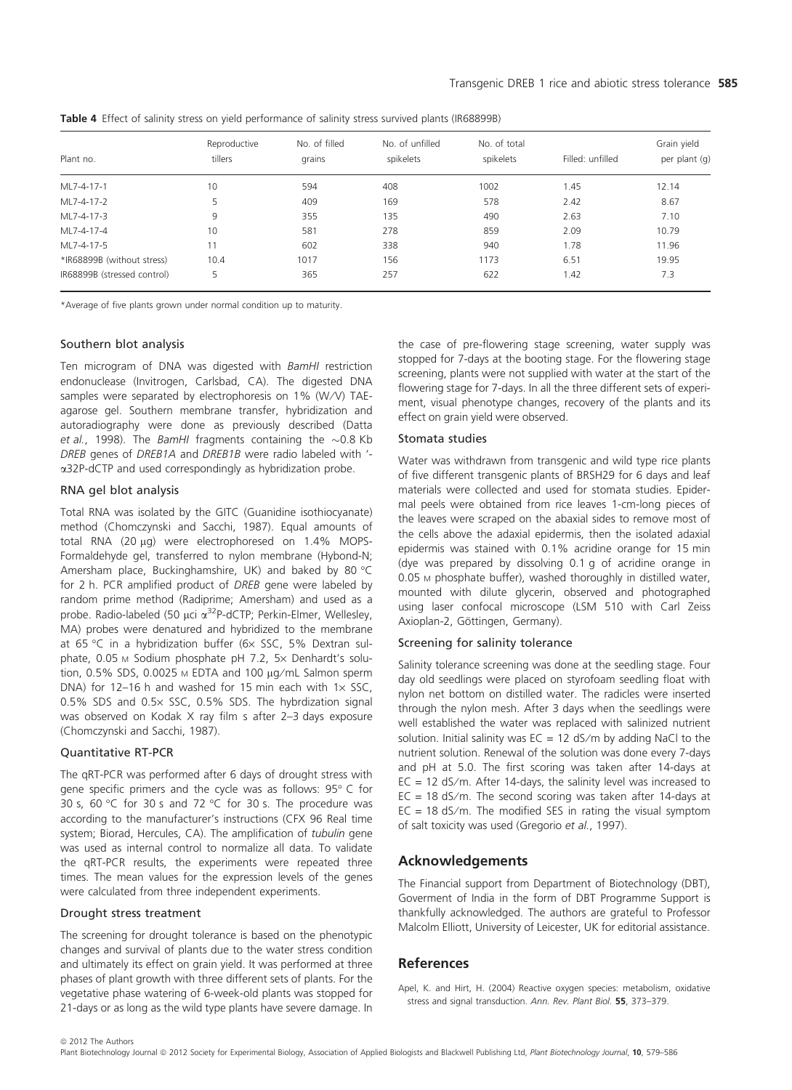Table 4 Effect of salinity stress on yield performance of salinity stress survived plants (IR68899B)

|                             | Reproductive | No. of filled<br>grains | No. of unfilled<br>spikelets | No. of total | Filled: unfilled | Grain yield<br>per plant (g) |
|-----------------------------|--------------|-------------------------|------------------------------|--------------|------------------|------------------------------|
| Plant no.                   | tillers      |                         |                              | spikelets    |                  |                              |
| ML7-4-17-1                  | 10           | 594                     | 408                          | 1002         | 1.45             | 12.14                        |
| ML7-4-17-2                  | 5.           | 409                     | 169                          | 578          | 2.42             | 8.67                         |
| ML7-4-17-3                  | 9            | 355                     | 135                          | 490          | 2.63             | 7.10                         |
| ML7-4-17-4                  | 10           | 581                     | 278                          | 859          | 2.09             | 10.79                        |
| ML7-4-17-5                  | 11           | 602                     | 338                          | 940          | 1.78             | 11.96                        |
| *IR68899B (without stress)  | 10.4         | 1017                    | 156                          | 1173         | 6.51             | 19.95                        |
| IR68899B (stressed control) | 5            | 365                     | 257                          | 622          | 1.42             | 7.3                          |

\*Average of five plants grown under normal condition up to maturity.

## Southern blot analysis

Ten microgram of DNA was digested with BamHI restriction endonuclease (Invitrogen, Carlsbad, CA). The digested DNA samples were separated by electrophoresis on 1% (W/V) TAEagarose gel. Southern membrane transfer, hybridization and autoradiography were done as previously described (Datta et al., 1998). The BamHI fragments containing the  $\sim$ 0.8 Kb DREB genes of DREB1A and DREB1B were radio labeled with ' a32P-dCTP and used correspondingly as hybridization probe.

## RNA gel blot analysis

Total RNA was isolated by the GITC (Guanidine isothiocyanate) method (Chomczynski and Sacchi, 1987). Equal amounts of total RNA (20  $\mu$ g) were electrophoresed on 1.4% MOPS-Formaldehyde gel, transferred to nylon membrane (Hybond-N; Amersham place, Buckinghamshire, UK) and baked by 80 °C for 2 h. PCR amplified product of DREB gene were labeled by random prime method (Radiprime; Amersham) and used as a probe. Radio-labeled (50 µci a<sup>32</sup>P-dCTP; Perkin-Elmer, Wellesley, MA) probes were denatured and hybridized to the membrane at 65 °C in a hybridization buffer (6x SSC, 5% Dextran sulphate,  $0.05$  M Sodium phosphate pH 7.2,  $5 \times$  Denhardt's solution,  $0.5\%$  SDS,  $0.0025$  M EDTA and  $100 \mu q/mL$  Salmon sperm DNA) for 12–16 h and washed for 15 min each with  $1 \times$  SSC, 0.5% SDS and 0.5x SSC, 0.5% SDS. The hybrdization signal was observed on Kodak X ray film s after 2–3 days exposure (Chomczynski and Sacchi, 1987).

## Quantitative RT-PCR

The qRT-PCR was performed after 6 days of drought stress with gene specific primers and the cycle was as follows: 95° C for 30 s, 60 °C for 30 s and 72 °C for 30 s. The procedure was according to the manufacturer's instructions (CFX 96 Real time system; Biorad, Hercules, CA). The amplification of tubulin gene was used as internal control to normalize all data. To validate the qRT-PCR results, the experiments were repeated three times. The mean values for the expression levels of the genes were calculated from three independent experiments.

## Drought stress treatment

The screening for drought tolerance is based on the phenotypic changes and survival of plants due to the water stress condition and ultimately its effect on grain yield. It was performed at three phases of plant growth with three different sets of plants. For the vegetative phase watering of 6-week-old plants was stopped for 21-days or as long as the wild type plants have severe damage. In

the case of pre-flowering stage screening, water supply was stopped for 7-days at the booting stage. For the flowering stage screening, plants were not supplied with water at the start of the flowering stage for 7-days. In all the three different sets of experiment, visual phenotype changes, recovery of the plants and its effect on grain yield were observed.

## Stomata studies

Water was withdrawn from transgenic and wild type rice plants of five different transgenic plants of BRSH29 for 6 days and leaf materials were collected and used for stomata studies. Epidermal peels were obtained from rice leaves 1-cm-long pieces of the leaves were scraped on the abaxial sides to remove most of the cells above the adaxial epidermis, then the isolated adaxial epidermis was stained with 0.1% acridine orange for 15 min (dye was prepared by dissolving 0.1 g of acridine orange in 0.05 M phosphate buffer), washed thoroughly in distilled water, mounted with dilute glycerin, observed and photographed using laser confocal microscope (LSM 510 with Carl Zeiss Axioplan-2, Göttingen, Germany).

## Screening for salinity tolerance

Salinity tolerance screening was done at the seedling stage. Four day old seedlings were placed on styrofoam seedling float with nylon net bottom on distilled water. The radicles were inserted through the nylon mesh. After 3 days when the seedlings were well established the water was replaced with salinized nutrient solution. Initial salinity was  $EC = 12$  dS/m by adding NaCl to the nutrient solution. Renewal of the solution was done every 7-days and pH at 5.0. The first scoring was taken after 14-days at  $EC = 12$  dS/m. After 14-days, the salinity level was increased to EC = 18 dS/m. The second scoring was taken after 14-days at  $EC = 18$  dS/m. The modified SES in rating the visual symptom of salt toxicity was used (Gregorio et al., 1997).

# Acknowledgements

The Financial support from Department of Biotechnology (DBT), Goverment of India in the form of DBT Programme Support is thankfully acknowledged. The authors are grateful to Professor Malcolm Elliott, University of Leicester, UK for editorial assistance.

# References

Apel, K. and Hirt, H. (2004) Reactive oxygen species: metabolism, oxidative stress and signal transduction. Ann. Rev. Plant Biol. 55, 373–379.